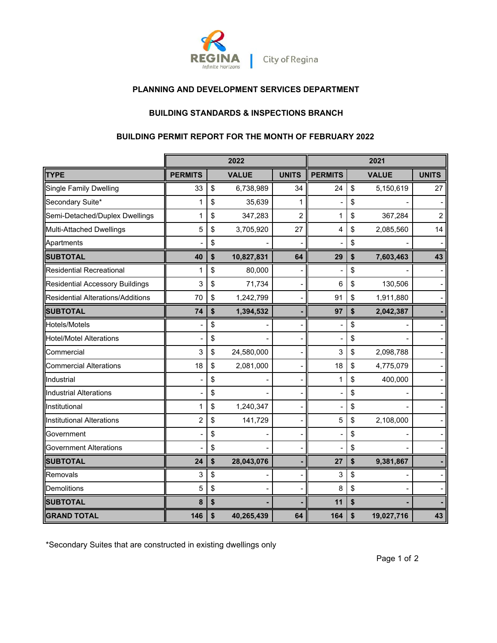

## **PLANNING AND DEVELOPMENT SERVICES DEPARTMENT**

# **BUILDING STANDARDS & INSPECTIONS BRANCH**

# **BUILDING PERMIT REPORT FOR THE MONTH OF FEBRUARY 2022**

|                                          | 2022<br>2021   |    |              |                |                |                  |                |
|------------------------------------------|----------------|----|--------------|----------------|----------------|------------------|----------------|
| TYPE                                     | <b>PERMITS</b> |    | <b>VALUE</b> | <b>UNITS</b>   | <b>PERMITS</b> | <b>VALUE</b>     | <b>UNITS</b>   |
| <b>Single Family Dwelling</b>            | 33             | \$ | 6,738,989    | 34             | 24             | \$<br>5,150,619  | 27             |
| Secondary Suite*                         | 1              | \$ | 35,639       | 1              |                | \$               |                |
| Semi-Detached/Duplex Dwellings           | 1              | \$ | 347,283      | $\overline{2}$ | 1              | \$<br>367,284    | $\overline{2}$ |
| Multi-Attached Dwellings                 | 5              | \$ | 3,705,920    | 27             | 4              | \$<br>2,085,560  | 14             |
| Apartments                               |                | \$ |              |                |                | \$               |                |
| <b>SUBTOTAL</b>                          | 40             | \$ | 10,827,831   | 64             | 29             | \$<br>7,603,463  | 43             |
| <b>Residential Recreational</b>          | 1              | \$ | 80,000       |                |                | \$               |                |
| Residential Accessory Buildings          | 3              | \$ | 71,734       |                | 6              | \$<br>130,506    |                |
| <b>Residential Alterations/Additions</b> | 70             | \$ | 1,242,799    |                | 91             | \$<br>1,911,880  |                |
| <b>SUBTOTAL</b>                          | 74             | \$ | 1,394,532    |                | 97             | \$<br>2,042,387  |                |
| Hotels/Motels                            |                | \$ |              |                |                | \$               |                |
| <b>Hotel/Motel Alterations</b>           |                | \$ |              |                |                | \$               |                |
| Commercial                               | 3              | \$ | 24,580,000   |                | 3              | \$<br>2,098,788  |                |
| <b>Commercial Alterations</b>            | 18             | \$ | 2,081,000    |                | 18             | \$<br>4,775,079  |                |
| Industrial                               |                | \$ |              |                | 1              | \$<br>400,000    |                |
| Industrial Alterations                   |                | \$ |              |                |                | \$               |                |
| Institutional                            | 1              | \$ | 1,240,347    |                |                | \$               |                |
| Institutional Alterations                | $\overline{2}$ | \$ | 141,729      |                | 5              | \$<br>2,108,000  |                |
| Government                               |                | \$ |              |                |                | \$               |                |
| <b>Government Alterations</b>            |                | \$ |              |                |                | \$               |                |
| <b>SUBTOTAL</b>                          | 24             | \$ | 28,043,076   |                | 27             | \$<br>9,381,867  |                |
| Removals                                 | 3              | \$ |              |                | 3              | \$               |                |
| Demolitions                              | 5              | \$ |              |                | 8              | \$               |                |
| <b>SUBTOTAL</b>                          | 8              | \$ |              |                | 11             | \$               |                |
| <b>GRAND TOTAL</b>                       | 146            | \$ | 40,265,439   | 64             | 164            | \$<br>19,027,716 | 43             |

\*Secondary Suites that are constructed in existing dwellings only

Page 1 of 2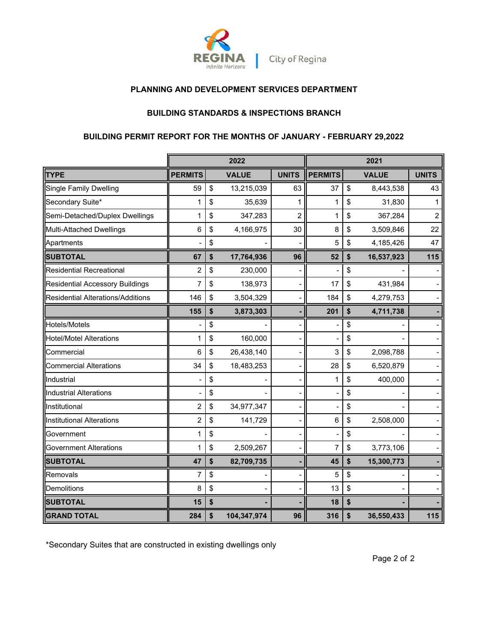

## **PLANNING AND DEVELOPMENT SERVICES DEPARTMENT**

### **BUILDING STANDARDS & INSPECTIONS BRANCH**

## **BUILDING PERMIT REPORT FOR THE MONTHS OF JANUARY - FEBRUARY 29,2022**

|                                        |                | 2022              |                          | 2021           |    |              |              |
|----------------------------------------|----------------|-------------------|--------------------------|----------------|----|--------------|--------------|
| <b>TYPE</b>                            | <b>PERMITS</b> | <b>VALUE</b>      | <b>UNITS</b>             | <b>PERMITS</b> |    | <b>VALUE</b> | <b>UNITS</b> |
| <b>Single Family Dwelling</b>          | 59             | \$<br>13,215,039  | 63                       | 37             | \$ | 8,443,538    | 43           |
| Secondary Suite*                       | 1              | \$<br>35,639      | 1                        | 1              | \$ | 31,830       | 1            |
| Semi-Detached/Duplex Dwellings         | 1              | \$<br>347,283     | $\overline{2}$           | 1              | \$ | 367,284      | 2            |
| Multi-Attached Dwellings               | 6              | \$<br>4,166,975   | 30                       | 8              | \$ | 3,509,846    | 22           |
| Apartments                             |                | \$                |                          | 5              | \$ | 4,185,426    | 47           |
| <b>SUBTOTAL</b>                        | 67             | \$<br>17,764,936  | 96                       | 52             | \$ | 16,537,923   | 115          |
| <b>Residential Recreational</b>        | $\overline{2}$ | \$<br>230,000     |                          |                | \$ |              |              |
| <b>Residential Accessory Buildings</b> | 7              | \$<br>138,973     |                          | 17             | \$ | 431,984      |              |
| Residential Alterations/Additions      | 146            | \$<br>3,504,329   | $\overline{\phantom{0}}$ | 184            | \$ | 4,279,753    |              |
|                                        | 155            | \$<br>3,873,303   |                          | 201            | \$ | 4,711,738    |              |
| Hotels/Motels                          |                | \$                |                          |                | \$ |              |              |
| <b>Hotel/Motel Alterations</b>         | 1              | \$<br>160,000     |                          |                | \$ |              |              |
| Commercial                             | 6              | \$<br>26,438,140  |                          | 3              | \$ | 2,098,788    |              |
| <b>Commercial Alterations</b>          | 34             | \$<br>18,483,253  |                          | 28             | \$ | 6,520,879    |              |
| Industrial                             |                | \$                |                          | 1              | \$ | 400,000      |              |
| Industrial Alterations                 |                | \$                |                          |                | \$ |              |              |
| Institutional                          | 2              | \$<br>34,977,347  |                          |                | \$ |              |              |
| <b>Institutional Alterations</b>       | $\overline{c}$ | \$<br>141,729     |                          | 6              | \$ | 2,508,000    |              |
| Government                             | 1              | \$                |                          |                | \$ |              |              |
| <b>Government Alterations</b>          | 1              | \$<br>2,509,267   |                          | 7              | \$ | 3,773,106    |              |
| <b>SUBTOTAL</b>                        | 47             | \$<br>82,709,735  |                          | 45             | \$ | 15,300,773   |              |
| Removals                               | 7              | \$                |                          | 5              | \$ |              |              |
| Demolitions                            | 8              | \$                |                          | 13             | \$ |              |              |
| <b>SUBTOTAL</b>                        | 15             | \$                |                          | 18             | \$ |              |              |
| <b>GRAND TOTAL</b>                     | 284            | \$<br>104,347,974 | 96                       | 316            | \$ | 36,550,433   | 115          |

\*Secondary Suites that are constructed in existing dwellings only

Page 2 of 2